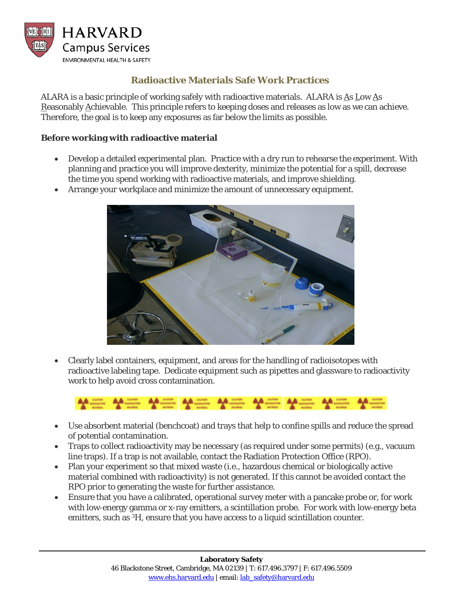

# **Radioactive Materials Safe Work Practices**

ALARA is a basic principle of working safely with radioactive materials. ALARA is As Low As Reasonably Achievable.This principle refers to keeping doses and releases as low as we can achieve. Therefore, the goal is to keep any exposures as far below the limits as possible.

#### **Before working with radioactive material**

- Develop a detailed experimental plan. Practice with a dry run to rehearse the experiment. With planning and practice you will improve dexterity, minimize the potential for a spill, decrease the time you spend working with radioactive materials, and improve shielding.
- Arrange your workplace and minimize the amount of unnecessary equipment.



• Clearly label containers, equipment, and areas for the handling of radioisotopes with radioactive labeling tape. Dedicate equipment such as pipettes and glassware to radioactivity work to help avoid cross contamination.



- Use absorbent material (benchcoat) and trays that help to confine spills and reduce the spread of potential contamination.
- Traps to collect radioactivity may be necessary (as required under some permits) (e.g., vacuum line traps). If a trap is not available, contact the Radiation Protection Office (RPO).
- Plan your experiment so that mixed waste (i.e., hazardous chemical or biologically active material combined with radioactivity) is not generated. If this cannot be avoided contact the RPO prior to generating the waste for further assistance.
- Ensure that you have a calibrated, operational survey meter with a pancake probe or, for work with low-energy gamma or x-ray emitters, a scintillation probe. For work with low-energy beta emitters, such as <sup>3</sup>H, ensure that you have access to a liquid scintillation counter.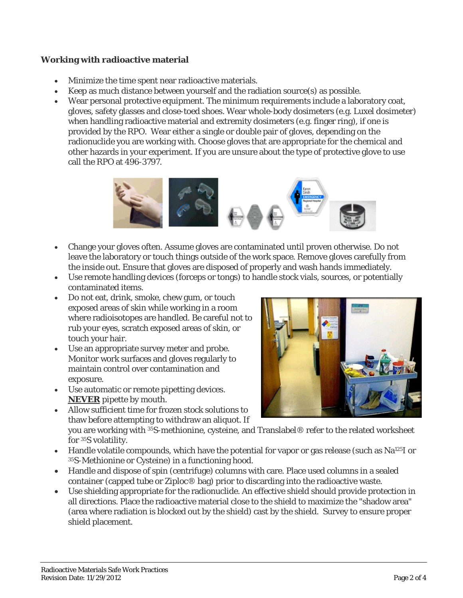### **Working with radioactive material**

- Minimize the time spent near radioactive materials.
- Keep as much distance between yourself and the radiation source(s) as possible.
- Wear personal protective equipment. The minimum requirements include a laboratory coat, gloves, safety glasses and close-toed shoes. Wear whole-body dosimeters (e.g. Luxel dosimeter) when handling radioactive material and extremity dosimeters (e.g. finger ring), if one is provided by the RPO. Wear either a single or double pair of gloves, depending on the radionuclide you are working with. Choose gloves that are appropriate for the chemical and other hazards in your experiment. If you are unsure about the type of protective glove to use call the RPO at 496-3797.



- Change your gloves often. Assume gloves are contaminated until proven otherwise. Do not leave the laboratory or touch things outside of the work space. Remove gloves carefully from the inside out. Ensure that gloves are disposed of properly and wash hands immediately.
- Use remote handling devices (forceps or tongs) to handle stock vials, sources, or potentially contaminated items.
- Do not eat, drink, smoke, chew gum, or touch exposed areas of skin while working in a room where radioisotopes are handled. Be careful not to rub your eyes, scratch exposed areas of skin, or touch your hair.
- Use an appropriate survey meter and probe. Monitor work surfaces and gloves regularly to maintain control over contamination and exposure.
- Use automatic or remote pipetting devices. **NEVER** pipette by mouth.
- 
- Allow sufficient time for frozen stock solutions to thaw before attempting to withdraw an aliquot. If you are working with 35S-methionine, cysteine, and Translabel® refer to the related worksheet for 35S volatility.
- Handle volatile compounds, which have the potential for vapor or gas release (such as Na<sup>125</sup>I or 35S-Methionine or Cysteine) in a functioning hood.
- Handle and dispose of spin (centrifuge) columns with care. Place used columns in a sealed container (capped tube or Ziploc® bag) prior to discarding into the radioactive waste.
- Use shielding appropriate for the radionuclide. An effective shield should provide protection in all directions. Place the radioactive material close to the shield to maximize the "shadow area" (area where radiation is blocked out by the shield) cast by the shield. Survey to ensure proper shield placement.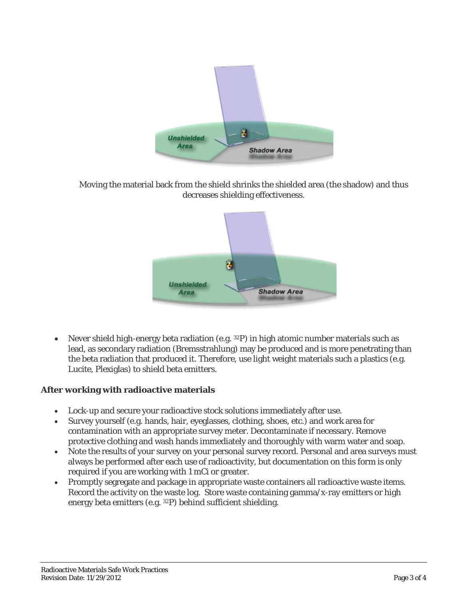

Moving the material back from the shield shrinks the shielded area (the shadow) and thus decreases shielding effectiveness.



• Never shield high-energy beta radiation (e.g. 32P) in high atomic number materials such as lead, as secondary radiation (Bremsstrahlung) may be produced and is more penetrating than the beta radiation that produced it. Therefore, use light weight materials such a plastics (e.g. Lucite, Plexiglas) to shield beta emitters.

## **After working with radioactive materials**

- Lock-up and secure your radioactive stock solutions immediately after use.
- Survey yourself (e.g. hands, hair, eyeglasses, clothing, shoes, etc.) and work area for contamination with an appropriate survey meter. Decontaminate if necessary. Remove protective clothing and wash hands immediately and thoroughly with warm water and soap.
- Note the results of your survey on your personal survey record. Personal and area surveys must always be performed after each use of radioactivity, but documentation on this form is only required if you are working with 1 mCi or greater.
- Promptly segregate and package in appropriate waste containers all radioactive waste items. Record the activity on the waste log. Store waste containing gamma/x-ray emitters or high energy beta emitters (e.g. 32P) behind sufficient shielding.